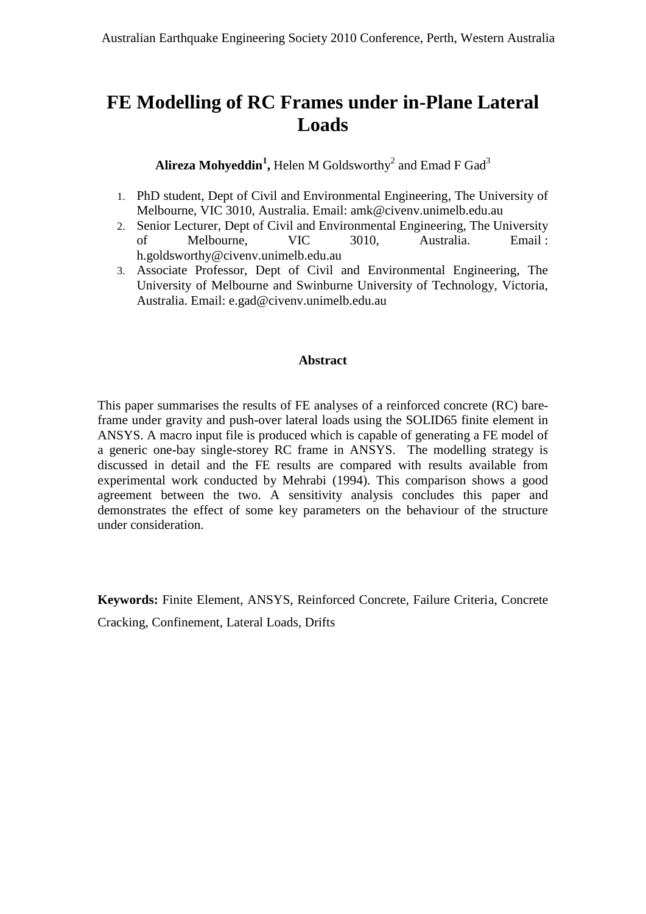# **FE Modelling of RC Frames under in-Plane Lateral Loads**

## $\mathbf{A}$ lireza  $\mathbf{M}$ ohyeddin<sup>1</sup>, Helen  $\mathbf{M}$  Goldsworthy<sup>2</sup> and Emad F Gad<sup>3</sup>

- 1. PhD student, Dept of Civil and Environmental Engineering, The University of Melbourne, VIC 3010, Australia. Email: amk@civenv.unimelb.edu.au
- 2. Senior Lecturer, Dept of Civil and Environmental Engineering, The University of Melbourne, VIC 3010, Australia. Email : h.goldsworthy@civenv.unimelb.edu.au
- 3. Associate Professor, Dept of Civil and Environmental Engineering, The University of Melbourne and Swinburne University of Technology, Victoria, Australia. Email: e.gad@civenv.unimelb.edu.au

## **Abstract**

This paper summarises the results of FE analyses of a reinforced concrete (RC) bareframe under gravity and push-over lateral loads using the SOLID65 finite element in ANSYS. A macro input file is produced which is capable of generating a FE model of a generic one-bay single-storey RC frame in ANSYS. The modelling strategy is discussed in detail and the FE results are compared with results available from experimental work conducted by Mehrabi (1994). This comparison shows a good agreement between the two. A sensitivity analysis concludes this paper and demonstrates the effect of some key parameters on the behaviour of the structure under consideration.

**Keywords:** Finite Element, ANSYS, Reinforced Concrete, Failure Criteria, Concrete Cracking, Confinement, Lateral Loads, Drifts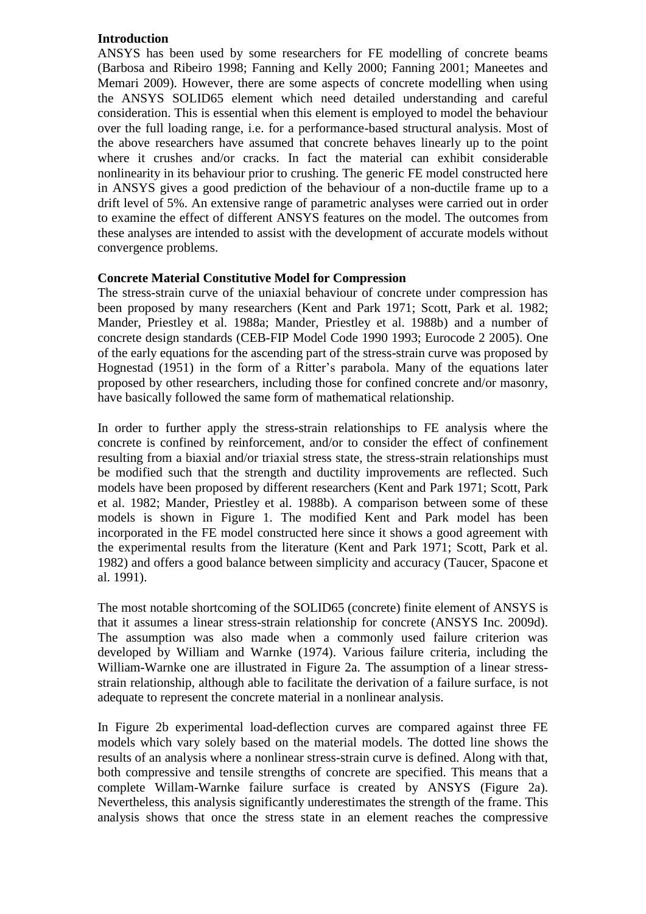#### **Introduction**

ANSYS has been used by some researchers for FE modelling of concrete beams (Barbosa and Ribeiro 1998; Fanning and Kelly 2000; Fanning 2001; Maneetes and Memari 2009). However, there are some aspects of concrete modelling when using the ANSYS SOLID65 element which need detailed understanding and careful consideration. This is essential when this element is employed to model the behaviour over the full loading range, i.e. for a performance-based structural analysis. Most of the above researchers have assumed that concrete behaves linearly up to the point where it crushes and/or cracks. In fact the material can exhibit considerable nonlinearity in its behaviour prior to crushing. The generic FE model constructed here in ANSYS gives a good prediction of the behaviour of a non-ductile frame up to a drift level of 5%. An extensive range of parametric analyses were carried out in order to examine the effect of different ANSYS features on the model. The outcomes from these analyses are intended to assist with the development of accurate models without convergence problems.

#### **Concrete Material Constitutive Model for Compression**

The stress-strain curve of the uniaxial behaviour of concrete under compression has been proposed by many researchers (Kent and Park 1971; Scott, Park et al. 1982; Mander, Priestley et al. 1988a; Mander, Priestley et al. 1988b) and a number of concrete design standards (CEB-FIP Model Code 1990 1993; Eurocode 2 2005). One of the early equations for the ascending part of the stress-strain curve was proposed by Hognestad (1951) in the form of a Ritter's parabola. Many of the equations later proposed by other researchers, including those for confined concrete and/or masonry, have basically followed the same form of mathematical relationship.

In order to further apply the stress-strain relationships to FE analysis where the concrete is confined by reinforcement, and/or to consider the effect of confinement resulting from a biaxial and/or triaxial stress state, the stress-strain relationships must be modified such that the strength and ductility improvements are reflected. Such models have been proposed by different researchers (Kent and Park 1971; Scott, Park et al. 1982; Mander, Priestley et al. 1988b). A comparison between some of these models is shown in Figure 1. The modified Kent and Park model has been incorporated in the FE model constructed here since it shows a good agreement with the experimental results from the literature (Kent and Park 1971; Scott, Park et al. 1982) and offers a good balance between simplicity and accuracy (Taucer, Spacone et al. 1991).

The most notable shortcoming of the SOLID65 (concrete) finite element of ANSYS is that it assumes a linear stress-strain relationship for concrete (ANSYS Inc. 2009d). The assumption was also made when a commonly used failure criterion was developed by William and Warnke (1974). Various failure criteria, including the William-Warnke one are illustrated in Figure 2a. The assumption of a linear stressstrain relationship, although able to facilitate the derivation of a failure surface, is not adequate to represent the concrete material in a nonlinear analysis.

In Figure 2b experimental load-deflection curves are compared against three FE models which vary solely based on the material models. The dotted line shows the results of an analysis where a nonlinear stress-strain curve is defined. Along with that, both compressive and tensile strengths of concrete are specified. This means that a complete Willam-Warnke failure surface is created by ANSYS (Figure 2a). Nevertheless, this analysis significantly underestimates the strength of the frame. This analysis shows that once the stress state in an element reaches the compressive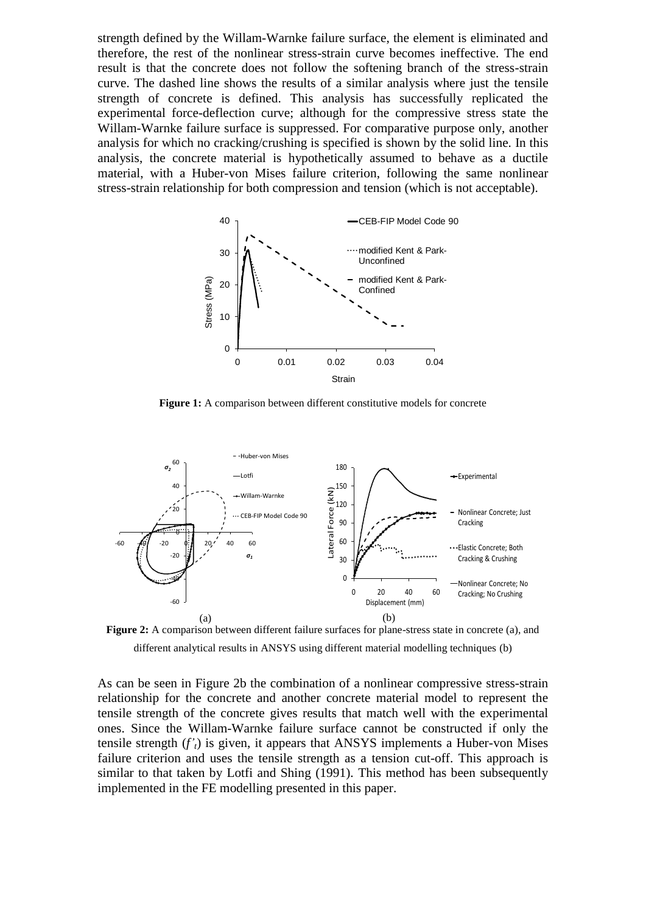strength defined by the Willam-Warnke failure surface, the element is eliminated and therefore, the rest of the nonlinear stress-strain curve becomes ineffective. The end result is that the concrete does not follow the softening branch of the stress-strain curve. The dashed line shows the results of a similar analysis where just the tensile strength of concrete is defined. This analysis has successfully replicated the experimental force-deflection curve; although for the compressive stress state the Willam-Warnke failure surface is suppressed. For comparative purpose only, another analysis for which no cracking/crushing is specified is shown by the solid line. In this analysis, the concrete material is hypothetically assumed to behave as a ductile material, with a Huber-von Mises failure criterion, following the same nonlinear stress-strain relationship for both compression and tension (which is not acceptable).



**Figure 1:** A comparison between different constitutive models for concrete



Figure 2: A comparison between different failure surfaces for plane-stress state in concrete (a), and different analytical results in ANSYS using different material modelling techniques (b)

As can be seen in Figure 2b the combination of a nonlinear compressive stress-strain relationship for the concrete and another concrete material model to represent the tensile strength of the concrete gives results that match well with the experimental ones. Since the Willam-Warnke failure surface cannot be constructed if only the tensile strength  $(f'_t)$  is given, it appears that ANSYS implements a Huber-von Mises failure criterion and uses the tensile strength as a tension cut-off. This approach is similar to that taken by Lotfi and Shing (1991). This method has been subsequently implemented in the FE modelling presented in this paper.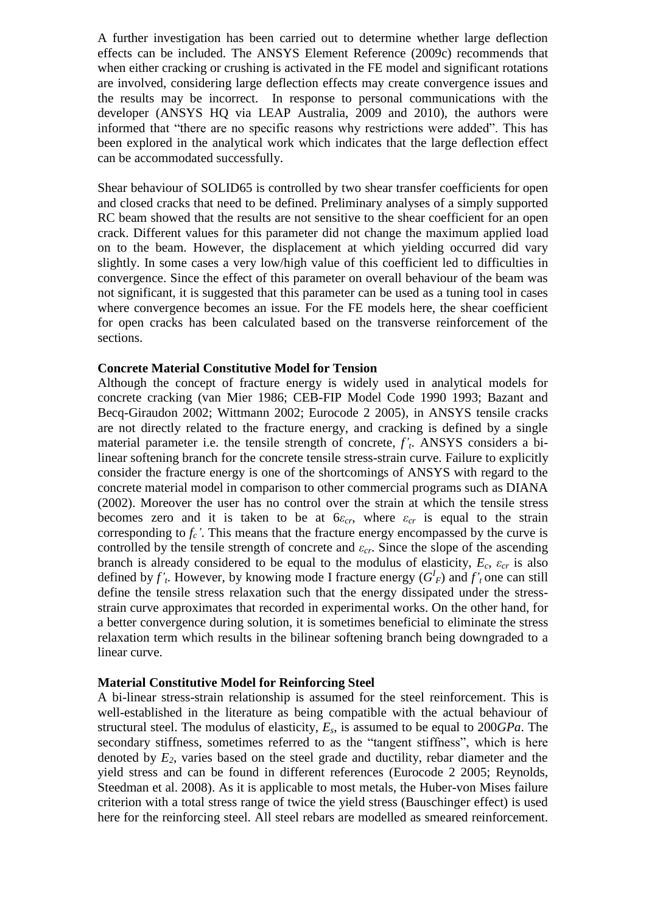A further investigation has been carried out to determine whether large deflection effects can be included. The ANSYS Element Reference (2009c) recommends that when either cracking or crushing is activated in the FE model and significant rotations are involved, considering large deflection effects may create convergence issues and the results may be incorrect. In response to personal communications with the developer (ANSYS HQ via LEAP Australia, 2009 and 2010), the authors were informed that "there are no specific reasons why restrictions were added". This has been explored in the analytical work which indicates that the large deflection effect can be accommodated successfully.

Shear behaviour of SOLID65 is controlled by two shear transfer coefficients for open and closed cracks that need to be defined. Preliminary analyses of a simply supported RC beam showed that the results are not sensitive to the shear coefficient for an open crack. Different values for this parameter did not change the maximum applied load on to the beam. However, the displacement at which yielding occurred did vary slightly. In some cases a very low/high value of this coefficient led to difficulties in convergence. Since the effect of this parameter on overall behaviour of the beam was not significant, it is suggested that this parameter can be used as a tuning tool in cases where convergence becomes an issue. For the FE models here, the shear coefficient for open cracks has been calculated based on the transverse reinforcement of the sections.

#### **Concrete Material Constitutive Model for Tension**

Although the concept of fracture energy is widely used in analytical models for concrete cracking (van Mier 1986; CEB-FIP Model Code 1990 1993; Bazant and Becq-Giraudon 2002; Wittmann 2002; Eurocode 2 2005), in ANSYS tensile cracks are not directly related to the fracture energy, and cracking is defined by a single material parameter i.e. the tensile strength of concrete, *f'<sup>t</sup>* . ANSYS considers a bilinear softening branch for the concrete tensile stress-strain curve. Failure to explicitly consider the fracture energy is one of the shortcomings of ANSYS with regard to the concrete material model in comparison to other commercial programs such as DIANA (2002). Moreover the user has no control over the strain at which the tensile stress becomes zero and it is taken to be at  $6\varepsilon_c$ , where  $\varepsilon_c$  is equal to the strain corresponding to  $f_c$ <sup>'</sup>. This means that the fracture energy encompassed by the curve is controlled by the tensile strength of concrete and *εcr*. Since the slope of the ascending branch is already considered to be equal to the modulus of elasticity,  $E_c$ ,  $\varepsilon_{cr}$  is also defined by  $f'$ <sub>*t*</sub>. However, by knowing mode I fracture energy  $(G<sup>I</sup><sub>F</sub>)$  and  $f'$ <sub>*t*</sub> one can still define the tensile stress relaxation such that the energy dissipated under the stressstrain curve approximates that recorded in experimental works. On the other hand, for a better convergence during solution, it is sometimes beneficial to eliminate the stress relaxation term which results in the bilinear softening branch being downgraded to a linear curve.

### **Material Constitutive Model for Reinforcing Steel**

A bi-linear stress-strain relationship is assumed for the steel reinforcement. This is well-established in the literature as being compatible with the actual behaviour of structural steel. The modulus of elasticity, *Es*, is assumed to be equal to 200*GPa*. The secondary stiffness, sometimes referred to as the "tangent stiffness", which is here denoted by *E2*, varies based on the steel grade and ductility, rebar diameter and the yield stress and can be found in different references (Eurocode 2 2005; Reynolds, Steedman et al. 2008). As it is applicable to most metals, the Huber-von Mises failure criterion with a total stress range of twice the yield stress (Bauschinger effect) is used here for the reinforcing steel. All steel rebars are modelled as smeared reinforcement.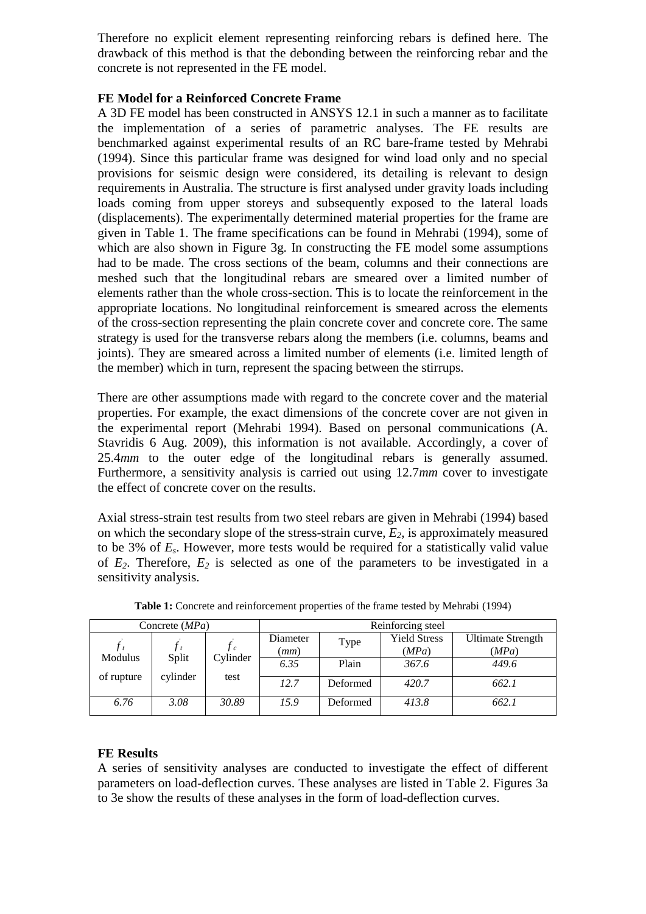Therefore no explicit element representing reinforcing rebars is defined here. The drawback of this method is that the debonding between the reinforcing rebar and the concrete is not represented in the FE model.

#### **FE Model for a Reinforced Concrete Frame**

A 3D FE model has been constructed in ANSYS 12.1 in such a manner as to facilitate the implementation of a series of parametric analyses. The FE results are benchmarked against experimental results of an RC bare-frame tested by Mehrabi (1994). Since this particular frame was designed for wind load only and no special provisions for seismic design were considered, its detailing is relevant to design requirements in Australia. The structure is first analysed under gravity loads including loads coming from upper storeys and subsequently exposed to the lateral loads (displacements). The experimentally determined material properties for the frame are given in Table 1. The frame specifications can be found in Mehrabi (1994), some of which are also shown in Figure 3g. In constructing the FE model some assumptions had to be made. The cross sections of the beam, columns and their connections are meshed such that the longitudinal rebars are smeared over a limited number of elements rather than the whole cross-section. This is to locate the reinforcement in the appropriate locations. No longitudinal reinforcement is smeared across the elements of the cross-section representing the plain concrete cover and concrete core. The same strategy is used for the transverse rebars along the members (i.e. columns, beams and joints). They are smeared across a limited number of elements (i.e. limited length of the member) which in turn, represent the spacing between the stirrups.

There are other assumptions made with regard to the concrete cover and the material properties. For example, the exact dimensions of the concrete cover are not given in the experimental report (Mehrabi 1994). Based on personal communications (A. Stavridis 6 Aug. 2009), this information is not available. Accordingly, a cover of 25.4*mm* to the outer edge of the longitudinal rebars is generally assumed. Furthermore, a sensitivity analysis is carried out using 12.7*mm* cover to investigate the effect of concrete cover on the results.

Axial stress-strain test results from two steel rebars are given in Mehrabi (1994) based on which the secondary slope of the stress-strain curve, *E2*, is approximately measured to be 3% of *Es*. However, more tests would be required for a statistically valid value of *E2*. Therefore, *E<sup>2</sup>* is selected as one of the parameters to be investigated in a sensitivity analysis.

| Concrete $(MPa)$      |                   |                  | Reinforcing steel |          |                              |                            |  |
|-----------------------|-------------------|------------------|-------------------|----------|------------------------------|----------------------------|--|
| Modulus<br>of rupture | Split<br>cylinder | Cylinder<br>test | Diameter<br>(mm)  | Type     | <b>Yield Stress</b><br>(MPa) | Ultimate Strength<br>(MPa) |  |
|                       |                   |                  | 6.35              | Plain    | 367.6                        | 449.6                      |  |
|                       |                   |                  | 12.7              | Deformed | 420.7                        | 662.1                      |  |
| 6.76                  | 3.08              | 30.89            | 15.9              | Deformed | 413.8                        | 662.1                      |  |

**Table 1:** Concrete and reinforcement properties of the frame tested by Mehrabi (1994)

## **FE Results**

A series of sensitivity analyses are conducted to investigate the effect of different parameters on load-deflection curves. These analyses are listed in Table 2. Figures 3a to 3e show the results of these analyses in the form of load-deflection curves.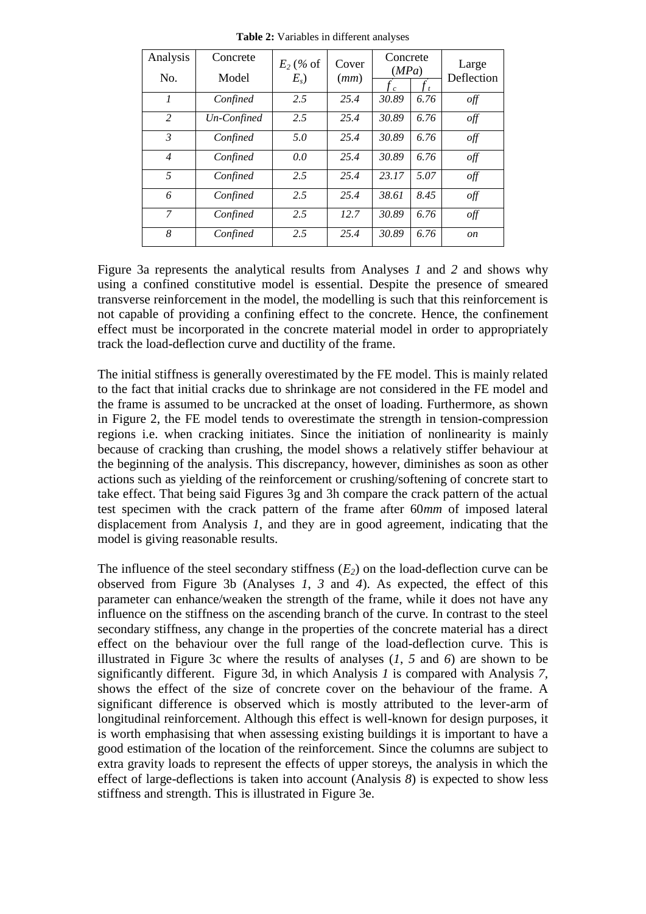| Analysis<br>No. | Concrete<br>Model | $E_2$ (% of<br>$E_s$ ) | Cover<br>(mm) | Concrete<br>(MPa) |      | Large<br>Deflection             |
|-----------------|-------------------|------------------------|---------------|-------------------|------|---------------------------------|
| 1               | Confined          | 2.5                    | 25.4          | 30.89             | 6.76 | off                             |
| 2               | Un-Confined       | 2.5                    | 25.4          | 30.89             | 6.76 | off                             |
| $\mathfrak{Z}$  | Confined          | 5.0                    | 25.4          | 30.89             | 6.76 | off                             |
| $\overline{4}$  | Confined          | 0.0                    | 25.4          | 30.89             | 6.76 | $\frac{\partial f}{\partial x}$ |
| 5               | Confined          | 2.5                    | 25.4          | 23.17             | 5.07 | off                             |
| 6               | Confined          | 2.5                    | 25.4          | 38.61             | 8.45 | off                             |
| $\mathcal{I}$   | Confined          | 2.5                    | 12.7          | 30.89             | 6.76 | off                             |
| 8               | Confined          | 2.5                    | 25.4          | 30.89             | 6.76 | <i>on</i>                       |

**Table 2:** Variables in different analyses

Figure 3a represents the analytical results from Analyses *1* and *2* and shows why using a confined constitutive model is essential. Despite the presence of smeared transverse reinforcement in the model, the modelling is such that this reinforcement is not capable of providing a confining effect to the concrete. Hence, the confinement effect must be incorporated in the concrete material model in order to appropriately track the load-deflection curve and ductility of the frame.

The initial stiffness is generally overestimated by the FE model. This is mainly related to the fact that initial cracks due to shrinkage are not considered in the FE model and the frame is assumed to be uncracked at the onset of loading. Furthermore, as shown in Figure 2, the FE model tends to overestimate the strength in tension-compression regions i.e. when cracking initiates. Since the initiation of nonlinearity is mainly because of cracking than crushing, the model shows a relatively stiffer behaviour at the beginning of the analysis. This discrepancy, however, diminishes as soon as other actions such as yielding of the reinforcement or crushing/softening of concrete start to take effect. That being said Figures 3g and 3h compare the crack pattern of the actual test specimen with the crack pattern of the frame after 60*mm* of imposed lateral displacement from Analysis *1*, and they are in good agreement, indicating that the model is giving reasonable results.

The influence of the steel secondary stiffness  $(E_2)$  on the load-deflection curve can be observed from Figure 3b (Analyses *1*, *3* and *4*). As expected, the effect of this parameter can enhance/weaken the strength of the frame, while it does not have any influence on the stiffness on the ascending branch of the curve. In contrast to the steel secondary stiffness, any change in the properties of the concrete material has a direct effect on the behaviour over the full range of the load-deflection curve. This is illustrated in Figure 3c where the results of analyses (*1*, *5* and *6*) are shown to be significantly different. Figure 3d, in which Analysis *1* is compared with Analysis *7,* shows the effect of the size of concrete cover on the behaviour of the frame. A significant difference is observed which is mostly attributed to the lever-arm of longitudinal reinforcement. Although this effect is well-known for design purposes, it is worth emphasising that when assessing existing buildings it is important to have a good estimation of the location of the reinforcement. Since the columns are subject to extra gravity loads to represent the effects of upper storeys, the analysis in which the effect of large-deflections is taken into account (Analysis *8*) is expected to show less stiffness and strength. This is illustrated in Figure 3e.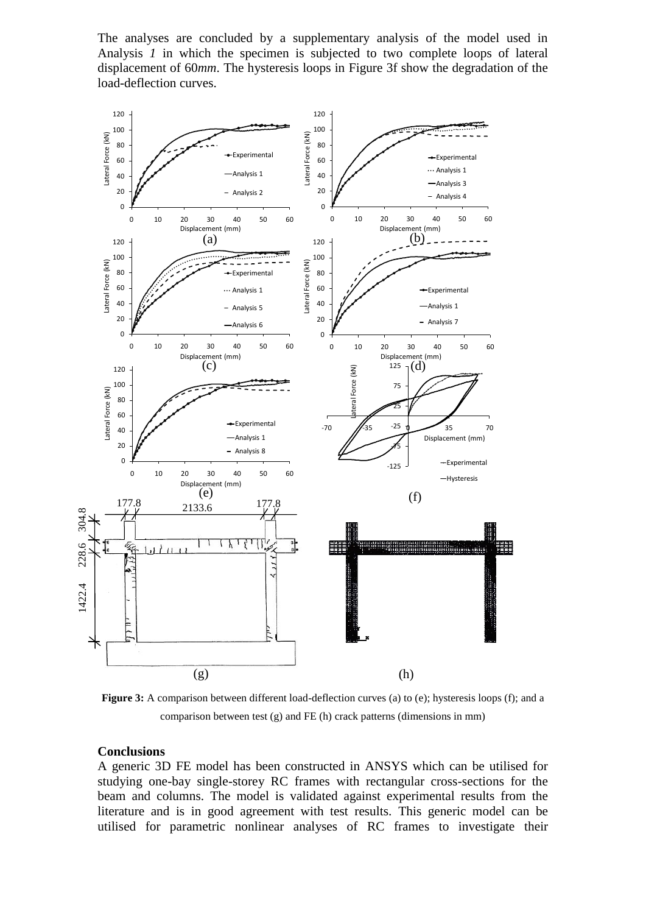The analyses are concluded by a supplementary analysis of the model used in Analysis *1* in which the specimen is subjected to two complete loops of lateral displacement of 60*mm*. The hysteresis loops in Figure 3f show the degradation of the load-deflection curves.



**Figure 3:** A comparison between different load-deflection curves (a) to (e); hysteresis loops (f); and a comparison between test (g) and FE (h) crack patterns (dimensions in mm)

#### **Conclusions**

A generic 3D FE model has been constructed in ANSYS which can be utilised for studying one-bay single-storey RC frames with rectangular cross-sections for the beam and columns. The model is validated against experimental results from the literature and is in good agreement with test results. This generic model can be utilised for parametric nonlinear analyses of RC frames to investigate their